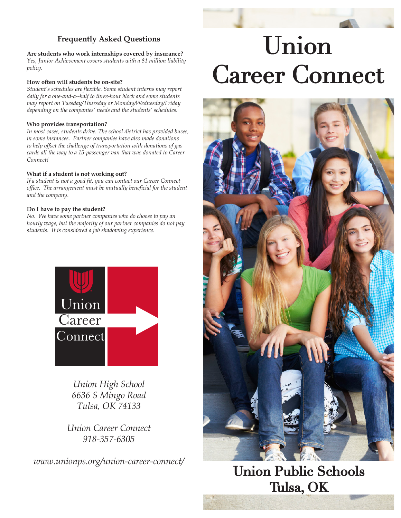## **Frequently Asked Questions**

**Are students who work internships covered by insurance?** *Yes, Junior Achievement covers students with a \$1 million liability policy.*

#### **How often will students be on-site?**

*Student's schedules are flexible. Some student interns may report daily for a one-and-a--half to three-hour block and some students may report on Tuesday/Thursday or Monday/Wednesday/Friday depending on the companies' needs and the students' schedules.*

### **Who provides transportation?**

*In most cases, students drive. The school district has provided buses, in some instances. Partner companies have also made donations to help offset the challenge of transportation with donations of gas cards all the way to a 15-passenger van that was donated to Career Connect!* 

#### **What if a student is not working out?**

*If a student is not a good fit, you can contact our Career Connect office. The arrangement must be mutually beneficial for the student and the company.*

### **Do I have to pay the student?**

*No. We have some partner companies who do choose to pay an hourly wage, but the majority of our partner companies do not pay students. It is considered a job shadowing experience*.



*Union High School 6636 S Mingo Road Tulsa, OK 74133*

*Union Career Connect 918-357-6305*

*www.unionps.org/union-career-connect/*

# Union **Career Connect**



**Union Public Schools** Tulsa, OK